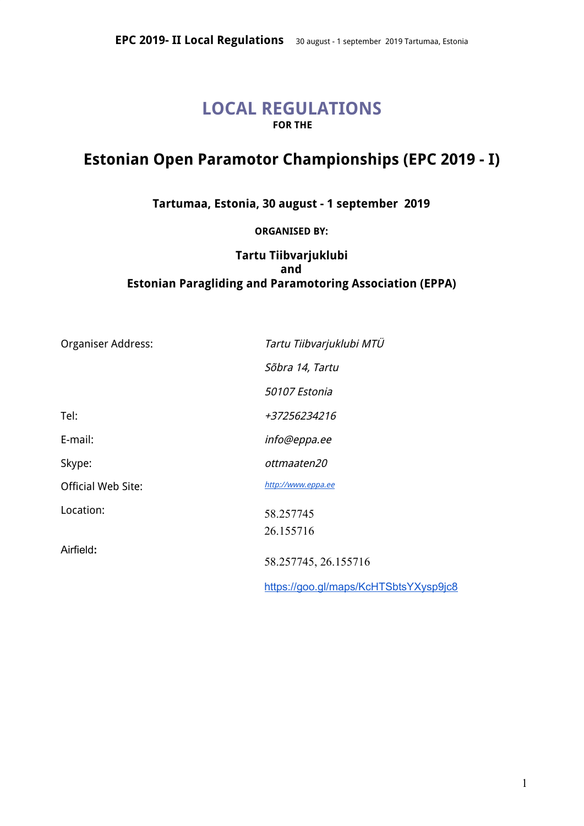# **LOCAL REGULATIONS FOR THE**

# **Estonian Open Paramotor Championships (EPC 2019 - I)**

**Tartumaa, Estonia, 30 august - 1 september 2019**

**ORGANISED BY:**

# **Tartu Tiibvarjuklubi and Estonian Paragliding and Paramotoring Association (EPPA)**

| Organiser Address:        | Tartu Tiibvarjuklubi MTÜ              |
|---------------------------|---------------------------------------|
|                           | Sõbra 14, Tartu                       |
|                           | 50107 Estonia                         |
| Tel:                      | +37256234216                          |
| E-mail:                   | info@eppa.ee                          |
| Skype:                    | ottmaaten20                           |
| <b>Official Web Site:</b> | http://www.eppa.ee                    |
| Location:                 | 58.257745                             |
|                           | 26.155716                             |
| Airfield:                 | 58.257745, 26.155716                  |
|                           | https://goo.gl/maps/KcHTSbtsYXysp9jc8 |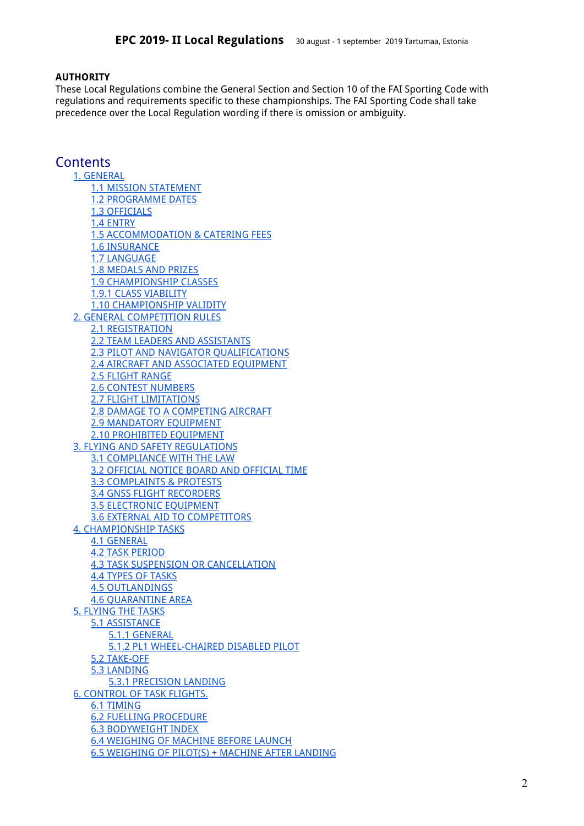#### **AUTHORITY**

These Local Regulations combine the General Section and Section 10 of the FAI Sporting Code with regulations and requirements specific to these championships. The FAI Sporting Code shall take precedence over the Local Regulation wording if there is omission or ambiguity.

### **Contents**

1. [GENERAL](#page-2-0) 1.1 MISSION [STATEMENT](#page-2-1) 1.2 [PROGRAMME](#page-2-2) DATES 1.3 [OFFICIALS](#page-3-0) 1.4 [ENTRY](#page-3-1) 1.5 [ACCOMMODATION](#page-3-2) & CATERING FEES 1.6 INSURANCE 1.7 [LANGUAGE](#page-4-0) 1.8 [MEDALS](#page-4-1) AND PRIZES 1.9 [CHAMPIONSHIP](#page-4-2) CLASSES 1.9.1 CLASS [VIABILITY](#page-4-3) 1.10 [CHAMPIONSHIP](#page-4-4) VALIDITY 2. GENERAL [COMPETITION](#page-4-5) RULES 2.1 [REGISTRATION](#page-4-6) 2.2 TEAM LEADERS AND [ASSISTANTS](#page-4-7) 2.3 PILOT AND NAVIGATOR [QUALIFICATIONS](#page-5-0) 2.4 AIRCRAFT AND ASSOCIATED EQUIPMENT 2.5 [FLIGHT](#page-5-1) RANGE 2.6 CONTEST [NUMBERS](#page-5-2) 2.7 FLIGHT [LIMITATIONS](#page-5-3) 2.8 DAMAGE TO A [COMPETING](#page-5-4) AIRCRAFT 2.9 [MANDATORY](#page-5-5) EQUIPMENT 2.10 [PROHIBITED](#page-5-6) EQUIPMENT 3. FLYING AND SAFETY [REGULATIONS](#page-5-7) 3.1 [COMPLIANCE](#page-6-0) WITH THE LAW 3.2 OFFICIAL NOTICE BOARD AND [OFFICIAL](#page-6-1) TIME 3.3 [COMPLAINTS](#page-6-2) & PROTESTS 3.4 GNSS FLIGHT [RECORDERS](#page-6-3) 3.5 [ELECTRONIC](#page-6-4) EQUIPMENT 3.6 EXTERNAL AID TO [COMPETITORS](#page-6-5) 4. [CHAMPIONSHIP](#page-6-6) TASKS 4.1 [GENERAL](#page-7-0) 4.2 TASK [PERIOD](#page-7-1) 4.3 TASK SUSPENSION OR [CANCELLATION](#page-7-2) 4.4 TYPES OF [TASKS](#page-7-3) 4.5 [OUTLANDINGS](#page-7-4) 4.6 [QUARANTINE](#page-7-5) AREA 5. [FLYING](#page-7-6) THE TASKS 5.1 [ASSISTANCE](#page-7-7) 5.1.1 [GENERAL](#page-7-8) 5.1.2 PL1 [WHEEL-CHAIRED](#page-8-0) DISABLED PILOT 5.2 [TAKE-OFF](#page-8-1) 5.3 [LANDING](#page-8-2) 5.3.1 [PRECISION](#page-8-3) LANDING 6. [CONTROL](#page-8-4) OF TASK FLIGHTS. 6.1 [TIMING](#page-8-5) 6.2 FUELLING PROCEDURE 6.3 BODYWEIGHT INDEX 6.4 WEIGHING OF MACHINE BEFORE LAUNCH 6.5 WEIGHING OF PILOT(S) + MACHINE AFTER LANDING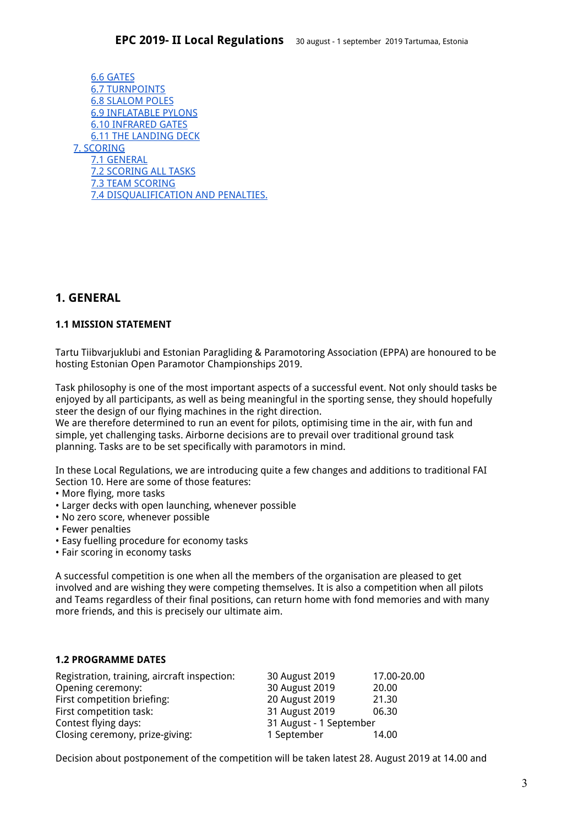6.6 [GATES](#page-9-0) 6.7 [TURNPOINTS](#page-10-0) 6.8 [SLALOM](#page-10-1) POLES 6.9 [INFLATABLE](#page-10-2) PYLONS 6.10 [INFRARED](#page-10-3) GATES 6.11 THE [LANDING](#page-10-4) DECK 7. [SCORING](#page-10-5) 7.1 [GENERAL](#page-10-6) 7.2 [SCORING](#page-10-7) ALL TASKS 7.3 TEAM [SCORING](#page-11-0) 7.4 [DISQUALIFICATION](#page-11-1) AND PENALTIES.

### <span id="page-2-0"></span>**1. GENERAL**

### <span id="page-2-1"></span>**1.1 MISSION STATEMENT**

Tartu Tiibvarjuklubi and Estonian Paragliding & Paramotoring Association (EPPA) are honoured to be hosting Estonian Open Paramotor Championships 2019.

Task philosophy is one of the most important aspects of a successful event. Not only should tasks be enjoyed by all participants, as well as being meaningful in the sporting sense, they should hopefully steer the design of our flying machines in the right direction.

We are therefore determined to run an event for pilots, optimising time in the air, with fun and simple, yet challenging tasks. Airborne decisions are to prevail over traditional ground task planning. Tasks are to be set specifically with paramotors in mind.

In these Local Regulations, we are introducing quite a few changes and additions to traditional FAI Section 10. Here are some of those features:

- More flying, more tasks
- Larger decks with open launching, whenever possible
- No zero score, whenever possible
- Fewer penalties
- Easy fuelling procedure for economy tasks
- Fair scoring in economy tasks

A successful competition is one when all the members of the organisation are pleased to get involved and are wishing they were competing themselves. It is also a competition when all pilots and Teams regardless of their final positions, can return home with fond memories and with many more friends, and this is precisely our ultimate aim.

#### <span id="page-2-2"></span>**1.2 PROGRAMME DATES**

| Registration, training, aircraft inspection: | 30 August 2019          | 17.00-20.00 |
|----------------------------------------------|-------------------------|-------------|
| Opening ceremony:                            | 30 August 2019          | 20.00       |
| First competition briefing:                  | 20 August 2019          | 21.30       |
| First competition task:                      | 31 August 2019          | 06.30       |
| Contest flying days:                         | 31 August - 1 September |             |
| Closing ceremony, prize-giving:              | 1 September             | 14.00       |

Decision about postponement of the competition will be taken latest 28. August 2019 at 14.00 and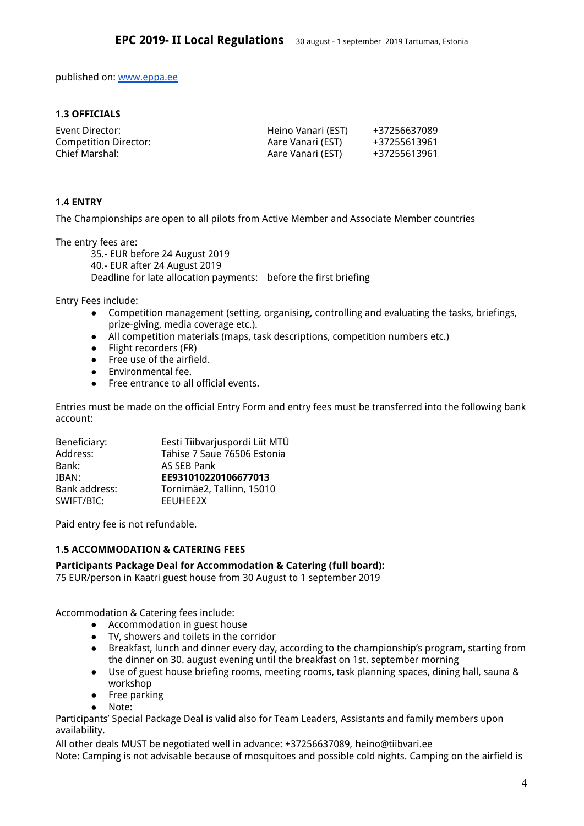published on: [www.eppa.ee](http://www.eppa.ee/)

### <span id="page-3-0"></span>**1.3 OFFICIALS**

| Event Director:       | Heino Vanari (EST) | +37256637089 |
|-----------------------|--------------------|--------------|
| Competition Director: | Aare Vanari (EST)  | +37255613961 |
| Chief Marshal:        | Aare Vanari (EST)  | +37255613961 |

### <span id="page-3-1"></span>**1.4 ENTRY**

The Championships are open to all pilots from Active Member and Associate Member countries

The entry fees are:

35.- EUR before 24 August 2019 40.- EUR after 24 August 2019 Deadline for late allocation payments: before the first briefing

Entry Fees include:

- Competition management (setting, organising, controlling and evaluating the tasks, briefings, prize-giving, media coverage etc.).
- All competition materials (maps, task descriptions, competition numbers etc.)
- Flight recorders (FR)
- Free use of the airfield.
- Environmental fee.
- Free entrance to all official events.

Entries must be made on the official Entry Form and entry fees must be transferred into the following bank account:

| Eesti Tiibvarjuspordi Liit MTÜ |
|--------------------------------|
| Tähise 7 Saue 76506 Estonia    |
| AS SEB Pank                    |
| EE931010220106677013           |
| Tornimäe2, Tallinn, 15010      |
| <b>EEUHEE2X</b>                |
|                                |

<span id="page-3-2"></span>Paid entry fee is not refundable.

### **1.5 ACCOMMODATION & CATERING FEES**

### **Participants Package Deal for Accommodation & Catering (full board):**

75 EUR/person in Kaatri guest house from 30 August to 1 september 2019

Accommodation & Catering fees include:

- Accommodation in guest house
- TV, showers and toilets in the corridor
- Breakfast, lunch and dinner every day, according to the championship's program, starting from the dinner on 30. august evening until the breakfast on 1st. september morning
- Use of guest house briefing rooms, meeting rooms, task planning spaces, dining hall, sauna & workshop
- Free parking
- Note:

Participants' Special Package Deal is valid also for Team Leaders, Assistants and family members upon availability.

All other deals MUST be negotiated well in advance: +37256637089, heino@tiibvari.e[e](mailto:info@eppa.ee) Note: Camping is not advisable because of mosquitoes and possible cold nights. Camping on the airfield is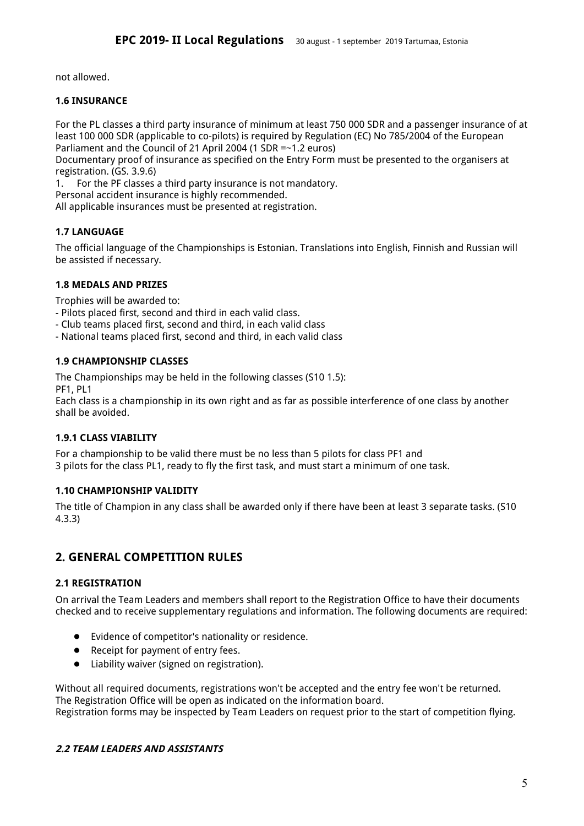not allowed.

### **1.6 INSURANCE**

For the PL classes a third party insurance of minimum at least 750 000 SDR and a passenger insurance of at least 100 000 SDR (applicable to co-pilots) is required by Regulation (EC) No 785/2004 of the European Parliament and the Council of 21 April 2004 (1 SDR =~1.2 euros)

Documentary proof of insurance as specified on the Entry Form must be presented to the organisers at registration. (GS. 3.9.6)

1. For the PF classes a third party insurance is not mandatory.

Personal accident insurance is highly recommended.

<span id="page-4-0"></span>All applicable insurances must be presented at registration.

### **1.7 LANGUAGE**

The official language of the Championships is Estonian. Translations into English, Finnish and Russian will be assisted if necessary.

### <span id="page-4-1"></span>**1.8 MEDALS AND PRIZES**

Trophies will be awarded to:

- Pilots placed first, second and third in each valid class.
- Club teams placed first, second and third, in each valid class
- <span id="page-4-2"></span>- National teams placed first, second and third, in each valid class

### **1.9 CHAMPIONSHIP CLASSES**

The Championships may be held in the following classes (S10 1.5): PF1, PL1

Each class is a championship in its own right and as far as possible interference of one class by another shall be avoided.

### <span id="page-4-3"></span>**1.9.1 CLASS VIABILITY**

For a championship to be valid there must be no less than 5 pilots for class PF1 and 3 pilots for the class PL1, ready to fly the first task, and must start a minimum of one task.

### <span id="page-4-4"></span>**1.10 CHAMPIONSHIP VALIDITY**

The title of Champion in any class shall be awarded only if there have been at least 3 separate tasks. (S10 4.3.3)

### <span id="page-4-5"></span>**2. GENERAL COMPETITION RULES**

### <span id="page-4-6"></span>**2.1 REGISTRATION**

On arrival the Team Leaders and members shall report to the Registration Office to have their documents checked and to receive supplementary regulations and information. The following documents are required:

- Evidence of competitor's nationality or residence.
- Receipt for payment of entry fees.
- Liability waiver (signed on registration).

Without all required documents, registrations won't be accepted and the entry fee won't be returned. The Registration Office will be open as indicated on the information board. Registration forms may be inspected by Team Leaders on request prior to the start of competition flying.

### <span id="page-4-7"></span>**2.2 TEAM LEADERS AND ASSISTANTS**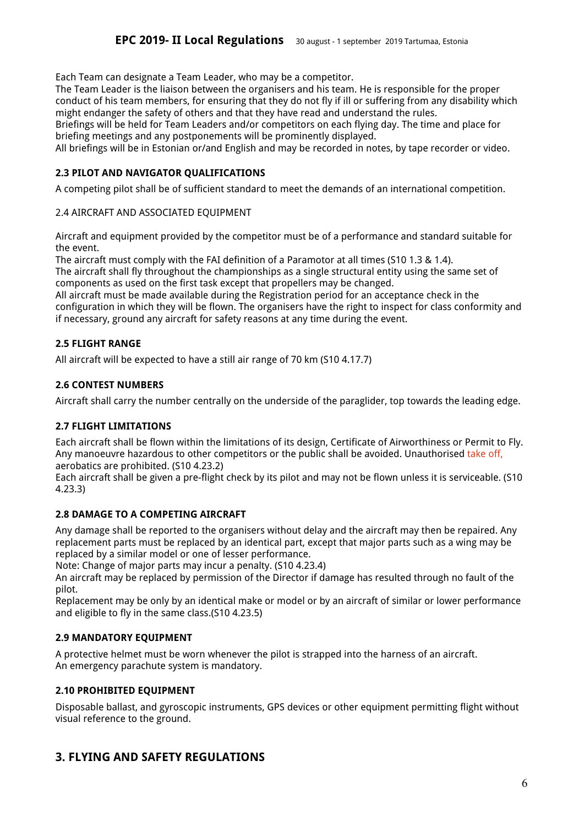Each Team can designate a Team Leader, who may be a competitor.

The Team Leader is the liaison between the organisers and his team. He is responsible for the proper conduct of his team members, for ensuring that they do not fly if ill or suffering from any disability which might endanger the safety of others and that they have read and understand the rules.

Briefings will be held for Team Leaders and/or competitors on each flying day. The time and place for briefing meetings and any postponements will be prominently displayed.

<span id="page-5-0"></span>All briefings will be in Estonian or/and English and may be recorded in notes, by tape recorder or video.

### **2.3 PILOT AND NAVIGATOR QUALIFICATIONS**

A competing pilot shall be of sufficient standard to meet the demands of an international competition.

### 2.4 AIRCRAFT AND ASSOCIATED EQUIPMENT

Aircraft and equipment provided by the competitor must be of a performance and standard suitable for the event.

The aircraft must comply with the FAI definition of a Paramotor at all times (S10 1.3 & 1.4). The aircraft shall fly throughout the championships as a single structural entity using the same set of components as used on the first task except that propellers may be changed.

All aircraft must be made available during the Registration period for an acceptance check in the configuration in which they will be flown. The organisers have the right to inspect for class conformity and if necessary, ground any aircraft for safety reasons at any time during the event.

### <span id="page-5-1"></span>**2.5 FLIGHT RANGE**

<span id="page-5-2"></span>All aircraft will be expected to have a still air range of 70 km (S10 4.17.7)

### **2.6 CONTEST NUMBERS**

<span id="page-5-3"></span>Aircraft shall carry the number centrally on the underside of the paraglider, top towards the leading edge.

### **2.7 FLIGHT LIMITATIONS**

Each aircraft shall be flown within the limitations of its design, Certificate of Airworthiness or Permit to Fly. Any manoeuvre hazardous to other competitors or the public shall be avoided. Unauthorised take off, aerobatics are prohibited. (S10 4.23.2)

Each aircraft shall be given a pre-flight check by its pilot and may not be flown unless it is serviceable. (S10 4.23.3)

### <span id="page-5-4"></span>**2.8 DAMAGE TO A COMPETING AIRCRAFT**

Any damage shall be reported to the organisers without delay and the aircraft may then be repaired. Any replacement parts must be replaced by an identical part, except that major parts such as a wing may be replaced by a similar model or one of lesser performance.

Note: Change of major parts may incur a penalty. (S10 4.23.4)

An aircraft may be replaced by permission of the Director if damage has resulted through no fault of the pilot.

Replacement may be only by an identical make or model or by an aircraft of similar or lower performance and eligible to fly in the same class.(S10 4.23.5)

### <span id="page-5-5"></span>**2.9 MANDATORY EQUIPMENT**

A protective helmet must be worn whenever the pilot is strapped into the harness of an aircraft. An emergency parachute system is mandatory.

### <span id="page-5-6"></span>**2.10 PROHIBITED EQUIPMENT**

Disposable ballast, and gyroscopic instruments, GPS devices or other equipment permitting flight without visual reference to the ground.

### <span id="page-5-7"></span>**3. FLYING AND SAFETY REGULATIONS**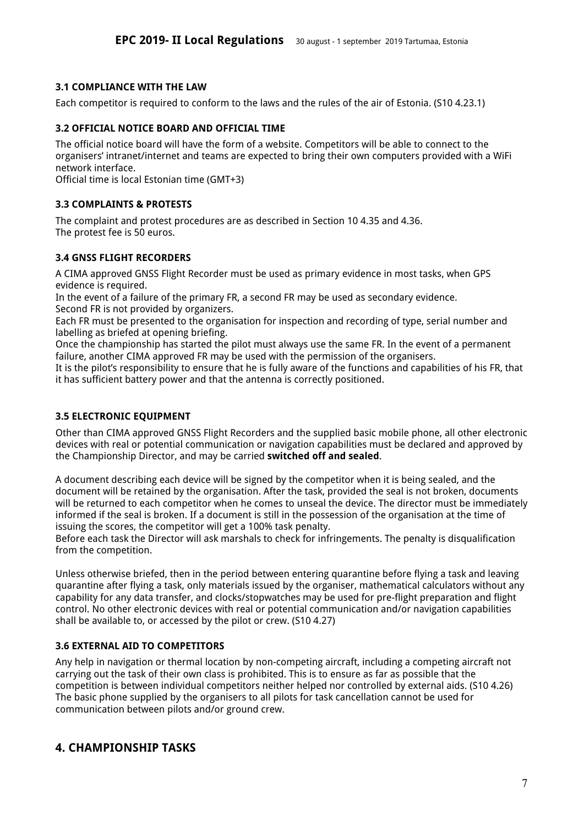### <span id="page-6-0"></span>**3.1 COMPLIANCE WITH THE LAW**

<span id="page-6-1"></span>Each competitor is required to conform to the laws and the rules of the air of Estonia. (S10 4.23.1)

### **3.2 OFFICIAL NOTICE BOARD AND OFFICIAL TIME**

The official notice board will have the form of a website. Competitors will be able to connect to the organisers' intranet/internet and teams are expected to bring their own computers provided with a WiFi network interface.

<span id="page-6-2"></span>Official time is local Estonian time (GMT+3)

### **3.3 COMPLAINTS & PROTESTS**

The complaint and protest procedures are as described in Section 10 4.35 and 4.36. The protest fee is 50 euros.

### <span id="page-6-3"></span>**3.4 GNSS FLIGHT RECORDERS**

A CIMA approved GNSS Flight Recorder must be used as primary evidence in most tasks, when GPS evidence is required.

In the event of a failure of the primary FR, a second FR may be used as secondary evidence. Second FR is not provided by organizers.

Each FR must be presented to the organisation for inspection and recording of type, serial number and labelling as briefed at opening briefing.

Once the championship has started the pilot must always use the same FR. In the event of a permanent failure, another CIMA approved FR may be used with the permission of the organisers.

It is the pilot's responsibility to ensure that he is fully aware of the functions and capabilities of his FR, that it has sufficient battery power and that the antenna is correctly positioned.

#### <span id="page-6-4"></span>**3.5 ELECTRONIC EQUIPMENT**

Other than CIMA approved GNSS Flight Recorders and the supplied basic mobile phone, all other electronic devices with real or potential communication or navigation capabilities must be declared and approved by the Championship Director, and may be carried **switched off and sealed**.

A document describing each device will be signed by the competitor when it is being sealed, and the document will be retained by the organisation. After the task, provided the seal is not broken, documents will be returned to each competitor when he comes to unseal the device. The director must be immediately informed if the seal is broken. If a document is still in the possession of the organisation at the time of issuing the scores, the competitor will get a 100% task penalty.

Before each task the Director will ask marshals to check for infringements. The penalty is disqualification from the competition.

Unless otherwise briefed, then in the period between entering quarantine before flying a task and leaving quarantine after flying a task, only materials issued by the organiser, mathematical calculators without any capability for any data transfer, and clocks/stopwatches may be used for pre-flight preparation and flight control. No other electronic devices with real or potential communication and/or navigation capabilities shall be available to, or accessed by the pilot or crew. (S10 4.27)

### <span id="page-6-5"></span>**3.6 EXTERNAL AID TO COMPETITORS**

Any help in navigation or thermal location by non-competing aircraft, including a competing aircraft not carrying out the task of their own class is prohibited. This is to ensure as far as possible that the competition is between individual competitors neither helped nor controlled by external aids. (S10 4.26) The basic phone supplied by the organisers to all pilots for task cancellation cannot be used for communication between pilots and/or ground crew.

### <span id="page-6-6"></span>**4. CHAMPIONSHIP TASKS**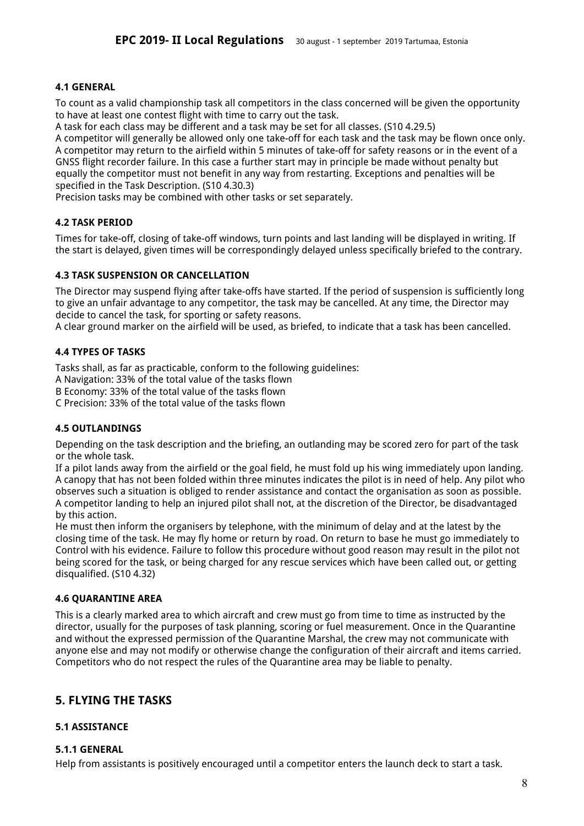### <span id="page-7-0"></span>**4.1 GENERAL**

To count as a valid championship task all competitors in the class concerned will be given the opportunity to have at least one contest flight with time to carry out the task.

A task for each class may be different and a task may be set for all classes. (S10 4.29.5)

A competitor will generally be allowed only one take-off for each task and the task may be flown once only. A competitor may return to the airfield within 5 minutes of take-off for safety reasons or in the event of a GNSS flight recorder failure. In this case a further start may in principle be made without penalty but equally the competitor must not benefit in any way from restarting. Exceptions and penalties will be specified in the Task Description. (S10 4.30.3)

<span id="page-7-1"></span>Precision tasks may be combined with other tasks or set separately.

### **4.2 TASK PERIOD**

Times for take-off, closing of take-off windows, turn points and last landing will be displayed in writing. If the start is delayed, given times will be correspondingly delayed unless specifically briefed to the contrary.

### <span id="page-7-2"></span>**4.3 TASK SUSPENSION OR CANCELLATION**

The Director may suspend flying after take-offs have started. If the period of suspension is sufficiently long to give an unfair advantage to any competitor, the task may be cancelled. At any time, the Director may decide to cancel the task, for sporting or safety reasons.

<span id="page-7-3"></span>A clear ground marker on the airfield will be used, as briefed, to indicate that a task has been cancelled.

### **4.4 TYPES OF TASKS**

Tasks shall, as far as practicable, conform to the following guidelines:

A Navigation: 33% of the total value of the tasks flown

B Economy: 33% of the total value of the tasks flown

<span id="page-7-4"></span>C Precision: 33% of the total value of the tasks flown

### **4.5 OUTLANDINGS**

Depending on the task description and the briefing, an outlanding may be scored zero for part of the task or the whole task.

If a pilot lands away from the airfield or the goal field, he must fold up his wing immediately upon landing. A canopy that has not been folded within three minutes indicates the pilot is in need of help. Any pilot who observes such a situation is obliged to render assistance and contact the organisation as soon as possible. A competitor landing to help an injured pilot shall not, at the discretion of the Director, be disadvantaged by this action.

He must then inform the organisers by telephone, with the minimum of delay and at the latest by the closing time of the task. He may fly home or return by road. On return to base he must go immediately to Control with his evidence. Failure to follow this procedure without good reason may result in the pilot not being scored for the task, or being charged for any rescue services which have been called out, or getting disqualified. (S10 4.32)

#### <span id="page-7-5"></span>**4.6 QUARANTINE AREA**

This is a clearly marked area to which aircraft and crew must go from time to time as instructed by the director, usually for the purposes of task planning, scoring or fuel measurement. Once in the Quarantine and without the expressed permission of the Quarantine Marshal, the crew may not communicate with anyone else and may not modify or otherwise change the configuration of their aircraft and items carried. Competitors who do not respect the rules of the Quarantine area may be liable to penalty.

### <span id="page-7-6"></span>**5. FLYING THE TASKS**

### <span id="page-7-7"></span>**5.1 ASSISTANCE**

### <span id="page-7-8"></span>**5.1.1 GENERAL**

Help from assistants is positively encouraged until a competitor enters the launch deck to start a task.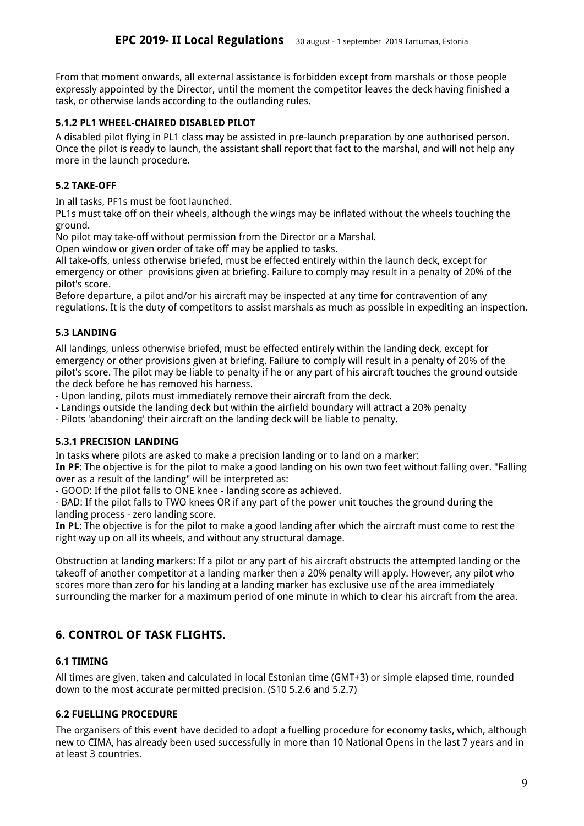From that moment onwards, all external assistance is forbidden except from marshals or those people expressly appointed by the Director, until the moment the competitor leaves the deck having finished a task, or otherwise lands according to the outlanding rules.

#### <span id="page-8-0"></span>**5.1.2 PL1 WHEEL-CHAIRED DISABLED PILOT**

A disabled pilot flying in PL1 class may be assisted in pre-launch preparation by one authorised person. Once the pilot is ready to launch, the assistant shall report that fact to the marshal, and will not help any more in the launch procedure.

### <span id="page-8-1"></span>**5.2 TAKE-OFF**

In all tasks, PF1s must be foot launched.

PL1s must take off on their wheels, although the wings may be inflated without the wheels touching the ground.

No pilot may take-off without permission from the Director or a Marshal.

Open window or given order of take off may be applied to tasks.

All take-offs, unless otherwise briefed, must be effected entirely within the launch deck, except for emergency or other provisions given at briefing. Failure to comply may result in a penalty of 20% of the pilot's score.

Before departure, a pilot and/or his aircraft may be inspected at any time for contravention of any regulations. It is the duty of competitors to assist marshals as much as possible in expediting an inspection.

### <span id="page-8-2"></span>**5.3 LANDING**

All landings, unless otherwise briefed, must be effected entirely within the landing deck, except for emergency or other provisions given at briefing. Failure to comply will result in a penalty of 20% of the pilot's score. The pilot may be liable to penalty if he or any part of his aircraft touches the ground outside the deck before he has removed his harness.

- Upon landing, pilots must immediately remove their aircraft from the deck.

- Landings outside the landing deck but within the airfield boundary will attract a 20% penalty

- Pilots 'abandoning' their aircraft on the landing deck will be liable to penalty.

#### <span id="page-8-3"></span>**5.3.1 PRECISION LANDING**

In tasks where pilots are asked to make a precision landing or to land on a marker:

**In PF**: The objective is for the pilot to make a good landing on his own two feet without falling over. "Falling over as a result of the landing" will be interpreted as:

- GOOD: If the pilot falls to ONE knee - landing score as achieved.

- BAD: If the pilot falls to TWO knees OR if any part of the power unit touches the ground during the landing process - zero landing score.

**In PL**: The objective is for the pilot to make a good landing after which the aircraft must come to rest the right way up on all its wheels, and without any structural damage.

Obstruction at landing markers: If a pilot or any part of his aircraft obstructs the attempted landing or the takeoff of another competitor at a landing marker then a 20% penalty will apply. However, any pilot who scores more than zero for his landing at a landing marker has exclusive use of the area immediately surrounding the marker for a maximum period of one minute in which to clear his aircraft from the area.

### <span id="page-8-4"></span>**6. CONTROL OF TASK FLIGHTS.**

#### <span id="page-8-5"></span>**6.1 TIMING**

All times are given, taken and calculated in local Estonian time (GMT+3) or simple elapsed time, rounded down to the most accurate permitted precision. (S10 5.2.6 and 5.2.7)

### **6.2 FUELLING PROCEDURE**

The organisers of this event have decided to adopt a fuelling procedure for economy tasks, which, although new to CIMA, has already been used successfully in more than 10 National Opens in the last 7 years and in at least 3 countries.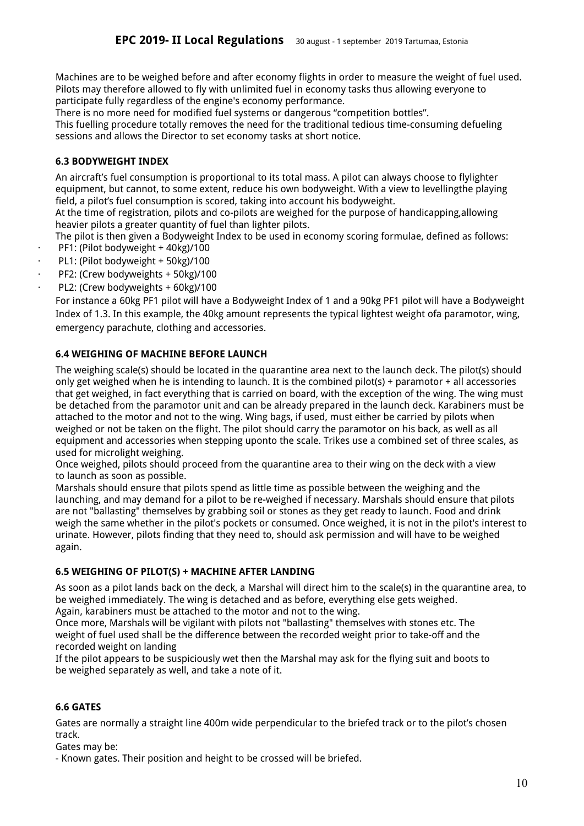Machines are to be weighed before and after economy flights in order to measure the weight of fuel used. Pilots may therefore allowed to fly with unlimited fuel in economy tasks thus allowing everyone to participate fully regardless of the engine's economy performance.

There is no more need for modified fuel systems or dangerous "competition bottles".

This fuelling procedure totally removes the need for the traditional tedious time-consuming defueling sessions and allows the Director to set economy tasks at short notice.

### **6.3 BODYWEIGHT INDEX**

An aircraft's fuel consumption is proportional to its total mass. A pilot can always choose to flylighter equipment, but cannot, to some extent, reduce his own bodyweight. With a view to levellingthe playing field, a pilot's fuel consumption is scored, taking into account his bodyweight.

At the time of registration, pilots and co-pilots are weighed for the purpose of handicapping,allowing heavier pilots a greater quantity of fuel than lighter pilots.

The pilot is then given a Bodyweight Index to be used in economy scoring formulae, defined as follows: PF1: (Pilot bodyweight + 40kg)/100

- PL1: (Pilot bodyweight + 50kg)/100
- PF2: (Crew bodyweights + 50kg)/100
- PL2: (Crew bodyweights + 60kg)/100

For instance a 60kg PF1 pilot will have a Bodyweight Index of 1 and a 90kg PF1 pilot will have a Bodyweight Index of 1.3. In this example, the 40kg amount represents the typical lightest weight ofa paramotor, wing, emergency parachute, clothing and accessories.

### **6.4 WEIGHING OF MACHINE BEFORE LAUNCH**

The weighing scale(s) should be located in the quarantine area next to the launch deck. The pilot(s) should only get weighed when he is intending to launch. It is the combined pilot(s) + paramotor + all accessories that get weighed, in fact everything that is carried on board, with the exception of the wing. The wing must be detached from the paramotor unit and can be already prepared in the launch deck. Karabiners must be attached to the motor and not to the wing. Wing bags, if used, must either be carried by pilots when weighed or not be taken on the flight. The pilot should carry the paramotor on his back, as well as all equipment and accessories when stepping uponto the scale. Trikes use a combined set of three scales, as used for microlight weighing.

Once weighed, pilots should proceed from the quarantine area to their wing on the deck with a view to launch as soon as possible.

Marshals should ensure that pilots spend as little time as possible between the weighing and the launching, and may demand for a pilot to be re-weighed if necessary. Marshals should ensure that pilots are not "ballasting" themselves by grabbing soil or stones as they get ready to launch. Food and drink weigh the same whether in the pilot's pockets or consumed. Once weighed, it is not in the pilot's interest to urinate. However, pilots finding that they need to, should ask permission and will have to be weighed again.

### **6.5 WEIGHING OF PILOT(S) + MACHINE AFTER LANDING**

As soon as a pilot lands back on the deck, a Marshal will direct him to the scale(s) in the quarantine area, to be weighed immediately. The wing is detached and as before, everything else gets weighed. Again, karabiners must be attached to the motor and not to the wing.

Once more, Marshals will be vigilant with pilots not "ballasting" themselves with stones etc. The weight of fuel used shall be the difference between the recorded weight prior to take-off and the recorded weight on landing

If the pilot appears to be suspiciously wet then the Marshal may ask for the flying suit and boots to be weighed separately as well, and take a note of it.

### <span id="page-9-0"></span>**6.6 GATES**

Gates are normally a straight line 400m wide perpendicular to the briefed track or to the pilot's chosen track.

Gates may be:

- Known gates. Their position and height to be crossed will be briefed.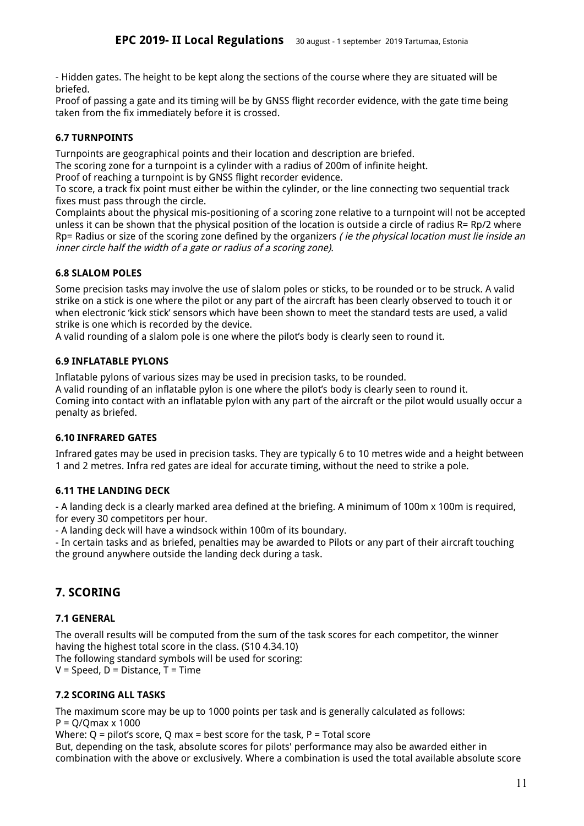- Hidden gates. The height to be kept along the sections of the course where they are situated will be briefed.

Proof of passing a gate and its timing will be by GNSS flight recorder evidence, with the gate time being taken from the fix immediately before it is crossed.

### <span id="page-10-0"></span>**6.7 TURNPOINTS**

Turnpoints are geographical points and their location and description are briefed.

The scoring zone for a turnpoint is a cylinder with a radius of 200m of infinite height.

Proof of reaching a turnpoint is by GNSS flight recorder evidence.

To score, a track fix point must either be within the cylinder, or the line connecting two sequential track fixes must pass through the circle.

Complaints about the physical mis-positioning of a scoring zone relative to a turnpoint will not be accepted unless it can be shown that the physical position of the location is outside a circle of radius R= Rp/2 where Rp= Radius or size of the scoring zone defined by the organizers (ie the physical location must lie inside an inner circle half the width of <sup>a</sup> gate or radius of <sup>a</sup> scoring zone).

### <span id="page-10-1"></span>**6.8 SLALOM POLES**

Some precision tasks may involve the use of slalom poles or sticks, to be rounded or to be struck. A valid strike on a stick is one where the pilot or any part of the aircraft has been clearly observed to touch it or when electronic 'kick stick' sensors which have been shown to meet the standard tests are used, a valid strike is one which is recorded by the device.

<span id="page-10-2"></span>A valid rounding of a slalom pole is one where the pilot's body is clearly seen to round it.

### **6.9 INFLATABLE PYLONS**

Inflatable pylons of various sizes may be used in precision tasks, to be rounded.

A valid rounding of an inflatable pylon is one where the pilot's body is clearly seen to round it. Coming into contact with an inflatable pylon with any part of the aircraft or the pilot would usually occur a penalty as briefed.

### <span id="page-10-3"></span>**6.10 INFRARED GATES**

Infrared gates may be used in precision tasks. They are typically 6 to 10 metres wide and a height between 1 and 2 metres. Infra red gates are ideal for accurate timing, without the need to strike a pole.

### <span id="page-10-4"></span>**6.11 THE LANDING DECK**

- A landing deck is a clearly marked area defined at the briefing. A minimum of 100m x 100m is required, for every 30 competitors per hour.

- A landing deck will have a windsock within 100m of its boundary.

- In certain tasks and as briefed, penalties may be awarded to Pilots or any part of their aircraft touching the ground anywhere outside the landing deck during a task.

## <span id="page-10-5"></span>**7. SCORING**

### <span id="page-10-6"></span>**7.1 GENERAL**

The overall results will be computed from the sum of the task scores for each competitor, the winner having the highest total score in the class. (S10 4.34.10)

The following standard symbols will be used for scoring:

<span id="page-10-7"></span> $V = Speed$ ,  $D = Distance$ ,  $T = Time$ 

### **7.2 SCORING ALL TASKS**

The maximum score may be up to 1000 points per task and is generally calculated as follows:  $P = Q/Qmax \times 1000$ 

Where:  $Q =$  pilot's score,  $Q$  max = best score for the task,  $P =$  Total score

But, depending on the task, absolute scores for pilots' performance may also be awarded either in combination with the above or exclusively. Where a combination is used the total available absolute score